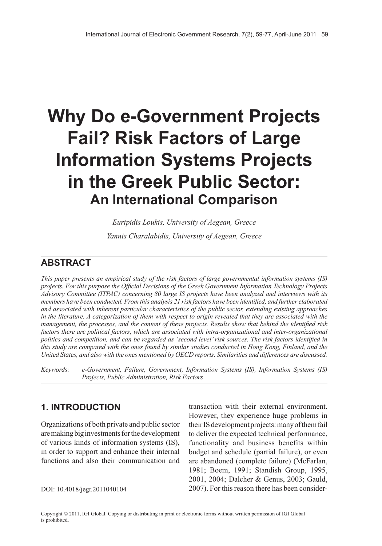# **Why Do e-Government Projects Fail? Risk Factors of Large Information Systems Projects in the Greek Public Sector: An International Comparison**

*Euripidis Loukis, University of Aegean, Greece Yannis Charalabidis, University of Aegean, Greece*

# **ABSTRACT**

*This paper presents an empirical study of the risk factors of large governmental information systems (IS) projects. For this purpose the Official Decisions of the Greek Government Information Technology Projects Advisory Committee (ITPAC) concerning 80 large IS projects have been analyzed and interviews with its members have been conducted. From this analysis 21 risk factors have been identified, and further elaborated and associated with inherent particular characteristics of the public sector, extending existing approaches* in the literature. A categorization of them with respect to origin revealed that they are associated with the *management, the processes, and the content of these projects. Results show that behind the identified risk factors there are political factors, which are associated with intra-organizational and inter-organizational politics and competition, and can be regarded as 'second level'risk sources. The risk factors identified in* this study are compared with the ones found by similar studies conducted in Hong Kong, Finland, and the *United States, and also with the ones mentioned by OECD reports. Similarities and differences are discussed.*

*Keywords: e-Government, Failure, Government, Information Systems (IS), Information Systems (IS) Projects, Public Administration, Risk Factors*

# **1. INTRODUCTION**

Organizations of both private and public sector are making big investments for the development of various kinds of information systems (IS), in order to support and enhance their internal functions and also their communication and

transaction with their external environment. However, they experience huge problems in their IS development projects: many of them fail to deliver the expected technical performance, functionality and business benefits within budget and schedule (partial failure), or even are abandoned (complete failure) (McFarlan, 1981; Boem, 1991; Standish Group, 1995, 2001, 2004; Dalcher & Genus, 2003; Gauld, DOI: 10.4018/jegr.2011040104 2007). For this reason there has been consider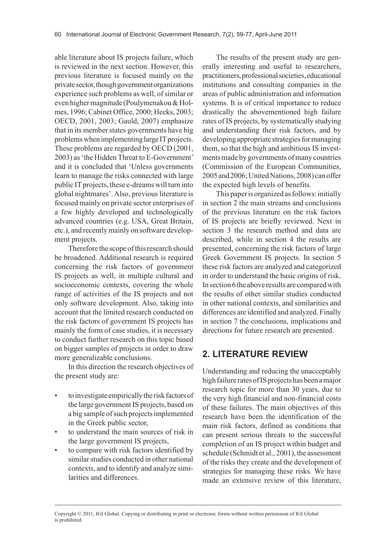able literature about IS projects failure, which is reviewed in the next section. However, this previous literature is focused mainly on the private sector, though government organizations experience such problems as well, of similar or even higher magnitude (Poulymenakou & Holmes, 1996; Cabinet Office, 2000; Heeks, 2003; OECD, 2001, 2003; Gauld, 2007) emphasize that in its member states governments have big problems when implementing large IT projects. These problems are regarded by OECD (2001, 2003) as 'the Hidden Threat to E-Government' and it is concluded that 'Unless governments learn to manage the risks connected with large public IT projects, these e-dreams will turn into global nightmares'. Also, previous literature is focused mainly on private sector enterprises of a few highly developed and technologically advanced countries (e.g. USA, Great Britain, etc.), and recently mainly on software development projects.

Therefore the scope of this research should be broadened. Additional research is required concerning the risk factors of government IS projects as well, in multiple cultural and socioeconomic contexts, covering the whole range of activities of the IS projects and not only software development. Also, taking into account that the limited research conducted on the risk factors of government IS projects has mainly the form of case studies, it is necessary to conduct further research on this topic based on bigger samples of projects in order to draw more generalizable conclusions.

In this direction the research objectives of the present study are:

- to investigate empirically the risk factors of the large government IS projects, based on a big sample of such projects implemented in the Greek public sector,
- to understand the main sources of risk in the large government IS projects,
- to compare with risk factors identified by similar studies conducted in other national contexts, and to identify and analyze similarities and differences.

The results of the present study are generally interesting and useful to researchers, practitioners, professional societies, educational institutions and consulting companies in the areas of public administration and information systems. It is of critical importance to reduce drastically the abovementioned high failure rates of IS projects, by systematically studying and understanding their risk factors, and by developing appropriate strategies for managing them, so that the high and ambitious IS investments made by governments of many countries (Commission of the European Communities, 2005 and 2006; United Nations, 2008) can offer the expected high levels of benefits.

This paper is organized as follows: initially in section 2 the main streams and conclusions of the previous literature on the risk factors of IS projects are briefly reviewed. Next in section 3 the research method and data are described, while in section 4 the results are presented, concerning the risk factors of large Greek Government IS projects. In section 5 these risk factors are analyzed and categorized in order to understand the basic origins of risk. In section 6 the above results are compared with the results of other similar studies conducted in other national contexts, and similarities and differences are identified and analyzed. Finally in section 7 the conclusions, implications and directions for future research are presented.

# **2. LITERATURE REVIEW**

Understanding and reducing the unacceptably high failure rates of IS projects has been a major research topic for more than 30 years, due to the very high financial and non-financial costs of these failures. The main objectives of this research have been the identification of the main risk factors, defined as conditions that can present serious threats to the successful completion of an IS project within budget and schedule (Schmidt et al., 2001), the assessment of the risks they create and the development of strategies for managing these risks. We have made an extensive review of this literature,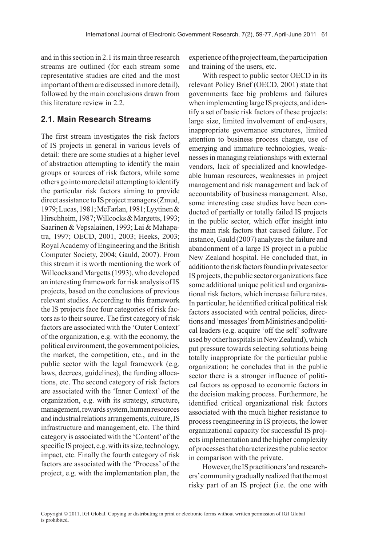and in this section in 2.1 its main three research streams are outlined (for each stream some representative studies are cited and the most important of them are discussed in more detail), followed by the main conclusions drawn from this literature review in 2.2.

#### **2.1. Main Research Streams**

The first stream investigates the risk factors of IS projects in general in various levels of detail: there are some studies at a higher level of abstraction attempting to identify the main groups or sources of risk factors, while some others go into more detail attempting to identify the particular risk factors aiming to provide direct assistance to IS project managers (Zmud, 1979; Lucas, 1981; McFarlan, 1981; Lyytinen & Hirschheim, 1987; Willcocks & Margetts, 1993; Saarinen & Vepsalainen, 1993; Lai & Mahapatra, 1997; OECD, 2001, 2003; Heeks, 2003; Royal Academy of Engineering and the British Computer Society, 2004; Gauld, 2007). From this stream it is worth mentioning the work of Willcocks and Margetts (1993), who developed an interesting framework for risk analysis of IS projects, based on the conclusions of previous relevant studies. According to this framework the IS projects face four categories of risk factors as to their source. The first category of risk factors are associated with the 'Outer Context' of the organization, e.g. with the economy, the political environment, the government policies, the market, the competition, etc., and in the public sector with the legal framework (e.g. laws, decrees, guidelines), the funding allocations, etc. The second category of risk factors are associated with the 'Inner Context' of the organization, e.g. with its strategy, structure, management, rewards system, human resources and industrial relations arrangements, culture, IS infrastructure and management, etc. The third category is associated with the 'Content' of the specific IS project, e.g. with its size, technology, impact, etc. Finally the fourth category of risk factors are associated with the 'Process' of the project, e.g. with the implementation plan, the experience of the project team, the participation and training of the users, etc.

With respect to public sector OECD in its relevant Policy Brief (OECD, 2001) state that governments face big problems and failures when implementing large IS projects, and identify a set of basic risk factors of these projects: large size, limited involvement of end-users, inappropriate governance structures, limited attention to business process change, use of emerging and immature technologies, weaknesses in managing relationships with external vendors, lack of specialized and knowledgeable human resources, weaknesses in project management and risk management and lack of accountability of business management. Also, some interesting case studies have been conducted of partially or totally failed IS projects in the public sector, which offer insight into the main risk factors that caused failure. For instance, Gauld (2007) analyzes the failure and abandonment of a large IS project in a public New Zealand hospital. He concluded that, in addition to the risk factors found in private sector IS projects, the public sector organizations face some additional unique political and organizational risk factors, which increase failure rates. In particular, he identified critical political risk factors associated with central policies, directions and 'messages' from Ministries and political leaders (e.g. acquire 'off the self' software used by other hospitals in New Zealand), which put pressure towards selecting solutions being totally inappropriate for the particular public organization; he concludes that in the public sector there is a stronger influence of political factors as opposed to economic factors in the decision making process. Furthermore, he identified critical organizational risk factors associated with the much higher resistance to process reengineering in IS projects, the lower organizational capacity for successful IS projects implementation and the higher complexity of processes that characterizes the public sector in comparison with the private.

However, the IS practitioners' and researchers' community gradually realized that the most risky part of an IS project (i.e. the one with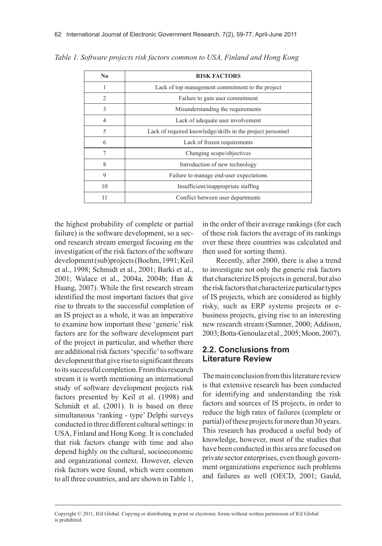| N <sub>0</sub> | <b>RISK FACTORS</b>                                        |  |
|----------------|------------------------------------------------------------|--|
| 1              | Lack of top management commitment to the project           |  |
| $\overline{c}$ | Failure to gain user commitment                            |  |
| 3              | Misunderstanding the requirements                          |  |
| $\overline{4}$ | Lack of adequate user involvement                          |  |
| 5              | Lack of required knowledge/skills in the project personnel |  |
| 6              | Lack of frozen requirements                                |  |
| 7              | Changing scope/objectives                                  |  |
| 8              | Introduction of new technology                             |  |
| 9              | Failure to manage end-user expectations                    |  |
| 10             | Insufficient/inappropriate staffing                        |  |
| 11             | Conflict between user departments                          |  |

*Table 1. Software projects risk factors common to USA, Finland and Hong Kong*

the highest probability of complete or partial failure) is the software development, so a second research stream emerged focusing on the investigation of the risk factors of the software development (sub)projects (Boehm, 1991; Keil et al., 1998; Schmidt et al., 2001; Barki et al., 2001; Walace et al., 2004a, 2004b; Han & Huang, 2007). While the first research stream identified the most important factors that give rise to threats to the successful completion of an IS project as a whole, it was an imperative to examine how important these 'generic' risk factors are for the software development part of the project in particular, and whether there are additional risk factors 'specific' to software development that give rise to significant threats to its successful completion. From this research stream it is worth mentioning an international study of software development projects risk factors presented by Keil et al. (1998) and Schmidt et al. (2001). It is based on three simultaneous 'ranking - type' Delphi surveys conducted in three different cultural settings: in USA, Finland and Hong Kong. It is concluded that risk factors change with time and also depend highly on the cultural, socioeconomic and organizational context. However, eleven risk factors were found, which were common to all three countries, and are shown in Table 1,

in the order of their average rankings (for each of these risk factors the average of its rankings over these three countries was calculated and then used for sorting them).

Recently, after 2000, there is also a trend to investigate not only the generic risk factors that characterize IS projects in general, but also the risk factors that characterize particular types of IS projects, which are considered as highly risky, such as ERP systems projects or ebusiness projects, giving rise to an interesting new research stream (Sumner, 2000; Addison, 2003; Botta-Genoulaz et al., 2005; Moon, 2007).

#### **2.2. Conclusions from Literature Review**

The main conclusion from this literature review is that extensive research has been conducted for identifying and understanding the risk factors and sources of IS projects, in order to reduce the high rates of failures (complete or partial) of these projects for more than 30 years. This research has produced a useful body of knowledge, however, most of the studies that have been conducted in this area are focused on private sector enterprises, even though government organizations experience such problems and failures as well (OECD, 2001; Gauld,

Copyright © 2011, IGI Global. Copying or distributing in print or electronic forms without written permission of IGI Global is prohibited.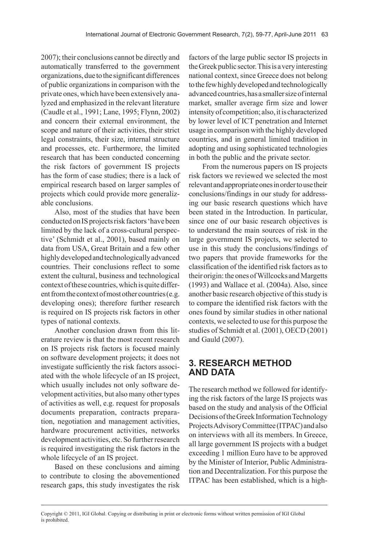2007); their conclusions cannot be directly and automatically transferred to the government organizations, due to the significant differences of public organizations in comparison with the private ones, which have been extensively analyzed and emphasized in the relevant literature (Caudle et al., 1991; Lane, 1995; Flynn, 2002) and concern their external environment, the scope and nature of their activities, their strict legal constraints, their size, internal structure and processes, etc. Furthermore, the limited research that has been conducted concerning the risk factors of government IS projects has the form of case studies; there is a lack of empirical research based on larger samples of projects which could provide more generalizable conclusions.

Also, most of the studies that have been conducted on IS projects risk factors 'have been limited by the lack of a cross-cultural perspective' (Schmidt et al., 2001), based mainly on data from USA, Great Britain and a few other highly developed and technologically advanced countries. Their conclusions reflect to some extent the cultural, business and technological context of these countries, which is quite different from the context of most other countries (e.g. developing ones); therefore further research is required on IS projects risk factors in other types of national contexts.

Another conclusion drawn from this literature review is that the most recent research on IS projects risk factors is focused mainly on software development projects; it does not investigate sufficiently the risk factors associated with the whole lifecycle of an IS project, which usually includes not only software development activities, but also many other types of activities as well, e.g. request for proposals documents preparation, contracts preparation, negotiation and management activities, hardware procurement activities, networks development activities, etc. So further research is required investigating the risk factors in the whole lifecycle of an IS project.

Based on these conclusions and aiming to contribute to closing the abovementioned research gaps, this study investigates the risk

factors of the large public sector IS projects in the Greek public sector. This is a very interesting national context, since Greece does not belong to the few highly developed and technologically advanced countries, has a smaller size of internal market, smaller average firm size and lower intensity of competition; also, it is characterized by lower level of ICT penetration and Internet usage in comparison with the highly developed countries, and in general limited tradition in adopting and using sophisticated technologies in both the public and the private sector.

From the numerous papers on IS projects risk factors we reviewed we selected the most relevant and appropriate ones in order to use their conclusions/findings in our study for addressing our basic research questions which have been stated in the Introduction. In particular, since one of our basic research objectives is to understand the main sources of risk in the large government IS projects, we selected to use in this study the conclusions/findings of two papers that provide frameworks for the classification of the identified risk factors as to their origin: the ones of Willcocks and Margetts (1993) and Wallace et al. (2004a). Also, since another basic research objective of this study is to compare the identified risk factors with the ones found by similar studies in other national contexts, we selected to use for this purpose the studies of Schmidt et al. (2001), OECD (2001) and Gauld (2007).

## **3. RESEARCH METHOD AND DATA**

The research method we followed for identifying the risk factors of the large IS projects was based on the study and analysis of the Official Decisions of the Greek Information Technology Projects Advisory Committee (ITPAC) and also on interviews with all its members. In Greece, all large government IS projects with a budget exceeding 1 million Euro have to be approved by the Minister of Interior, Public Administration and Decentralization. For this purpose the ITPAC has been established, which is a high-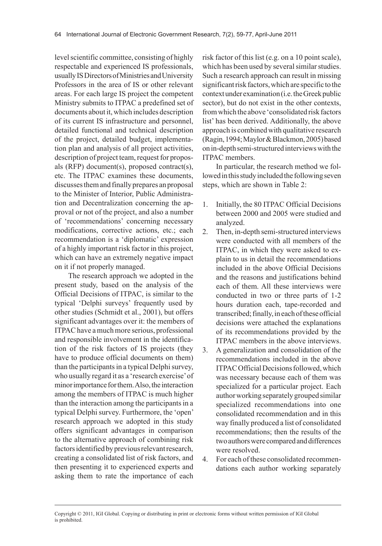level scientific committee, consisting of highly respectable and experienced IS professionals, usually IS Directors of Ministries and University Professors in the area of IS or other relevant areas. For each large IS project the competent Ministry submits to ITPAC a predefined set of documents about it, which includes description of its current IS infrastructure and personnel, detailed functional and technical description of the project, detailed budget, implementation plan and analysis of all project activities, description of project team, request for proposals (RFP) document(s), proposed contract(s), etc. The ITPAC examines these documents, discusses them and finally prepares an proposal to the Minister of Interior, Public Administration and Decentralization concerning the approval or not of the project, and also a number of 'recommendations' concerning necessary modifications, corrective actions, etc.; each recommendation is a 'diplomatic' expression of a highly important risk factor in this project, which can have an extremely negative impact on it if not properly managed.

The research approach we adopted in the present study, based on the analysis of the Official Decisions of ITPAC, is similar to the typical 'Delphi surveys' frequently used by other studies (Schmidt et al., 2001), but offers significant advantages over it: the members of ITPAC have a much more serious, professional and responsible involvement in the identification of the risk factors of IS projects (they have to produce official documents on them) than the participants in a typical Delphi survey, who usually regard it as a 'research exercise' of minor importance for them. Also, the interaction among the members of ITPAC is much higher than the interaction among the participants in a typical Delphi survey. Furthermore, the 'open' research approach we adopted in this study offers significant advantages in comparison to the alternative approach of combining risk factors identified by previous relevant research, creating a consolidated list of risk factors, and then presenting it to experienced experts and asking them to rate the importance of each

risk factor of this list (e.g. on a 10 point scale), which has been used by several similar studies. Such a research approach can result in missing significant risk factors, which are specific to the context under examination (i.e. the Greek public sector), but do not exist in the other contexts, from which the above 'consolidated risk factors list' has been derived. Additionally, the above approach is combined with qualitative research (Ragin, 1994; Maylor & Blackmon, 2005) based on in-depth semi-structured interviews with the ITPAC members.

In particular, the research method we followed in this study included the following seven steps, which are shown in Table 2:

- 1. Initially, the 80 ITPAC Official Decisions between 2000 and 2005 were studied and analyzed.
- 2. Then, in-depth semi-structured interviews were conducted with all members of the ITPAC, in which they were asked to explain to us in detail the recommendations included in the above Official Decisions and the reasons and justifications behind each of them. All these interviews were conducted in two or three parts of 1-2 hours duration each, tape-recorded and transcribed; finally, in each of these official decisions were attached the explanations of its recommendations provided by the ITPAC members in the above interviews.
- 3. A generalization and consolidation of the recommendations included in the above ITPAC Official Decisions followed, which was necessary because each of them was specialized for a particular project. Each author working separately grouped similar specialized recommendations into one consolidated recommendation and in this way finally produced a list of consolidated recommendations; then the results of the two authors were compared and differences were resolved.
- 4. For each of these consolidated recommendations each author working separately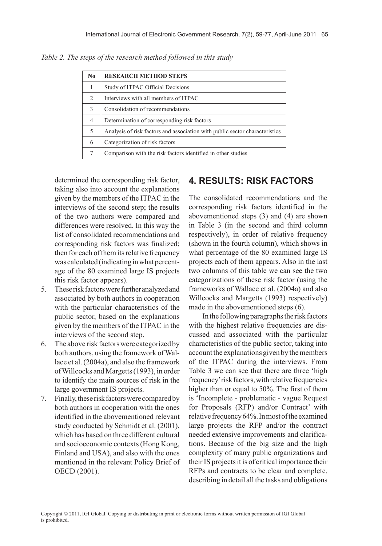| No | <b>RESEARCH METHOD STEPS</b>                                                |
|----|-----------------------------------------------------------------------------|
| 1  | Study of ITPAC Official Decisions                                           |
| 2  | Interviews with all members of ITPAC                                        |
| 3  | Consolidation of recommendations                                            |
| 4  | Determination of corresponding risk factors                                 |
| 5  | Analysis of risk factors and association with public sector characteristics |
| 6  | Categorization of risk factors                                              |
| 7  | Comparison with the risk factors identified in other studies                |

*Table 2. The steps of the research method followed in this study*

determined the corresponding risk factor, taking also into account the explanations given by the members of the ITPAC in the interviews of the second step; the results of the two authors were compared and differences were resolved. In this way the list of consolidated recommendations and corresponding risk factors was finalized; then for each of them its relative frequency was calculated (indicating in what percentage of the 80 examined large IS projects this risk factor appears).

- 5. These risk factors were further analyzed and associated by both authors in cooperation with the particular characteristics of the public sector, based on the explanations given by the members of the ITPAC in the interviews of the second step.
- 6. The above risk factors were categorized by both authors, using the framework of Wallace et al. (2004a), and also the framework of Willcocks and Margetts (1993), in order to identify the main sources of risk in the large government IS projects.
- 7. Finally, these risk factors were compared by both authors in cooperation with the ones identified in the abovementioned relevant study conducted by Schmidt et al. (2001), which has based on three different cultural and socioeconomic contexts (Hong Kong, Finland and USA), and also with the ones mentioned in the relevant Policy Brief of OECD (2001).

# **4. RESULTS: RISK FACTORS**

The consolidated recommendations and the corresponding risk factors identified in the abovementioned steps (3) and (4) are shown in Table 3 (in the second and third column respectively), in order of relative frequency (shown in the fourth column), which shows in what percentage of the 80 examined large IS projects each of them appears. Also in the last two columns of this table we can see the two categorizations of these risk factor (using the frameworks of Wallace et al. (2004a) and also Willcocks and Margetts (1993) respectively) made in the abovementioned steps (6).

In the following paragraphs the risk factors with the highest relative frequencies are discussed and associated with the particular characteristics of the public sector, taking into account the explanations given by the members of the ITPAC during the interviews. From Table 3 we can see that there are three 'high frequency' risk factors, with relative frequencies higher than or equal to 50%. The first of them is 'Incomplete - problematic - vague Request for Proposals (RFP) and/or Contract' with relative frequency 64%. In most of the examined large projects the RFP and/or the contract needed extensive improvements and clarifications. Because of the big size and the high complexity of many public organizations and their IS projects it is of critical importance their RFPs and contracts to be clear and complete, describing in detail all the tasks and obligations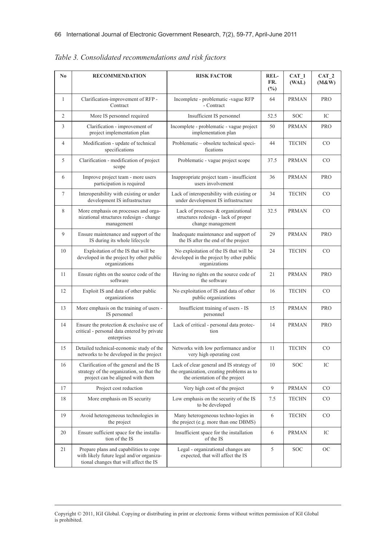| No             | <b>RECOMMENDATION</b>                                                                                                         | <b>RISK FACTOR</b>                                                                                                      | REL-<br>FR.<br>$(\%)$ | CAT 1<br>(WAL) | CAT <sub>2</sub><br>(M&W) |
|----------------|-------------------------------------------------------------------------------------------------------------------------------|-------------------------------------------------------------------------------------------------------------------------|-----------------------|----------------|---------------------------|
| $\mathbf{1}$   | Clarification-improvement of RFP -<br>Contract                                                                                | Incomplete - problematic -vague RFP<br>- Contract                                                                       | 64                    | <b>PRMAN</b>   | <b>PRO</b>                |
| $\overline{2}$ | More IS personnel required                                                                                                    | Insufficient IS personnel                                                                                               | 52.5                  | SOC            | IC                        |
| 3              | Clarification - improvement of<br>project implementation plan                                                                 | Incomplete - problematic - vague project<br>implementation plan                                                         | 50                    | <b>PRMAN</b>   | <b>PRO</b>                |
| $\overline{4}$ | Modification - update of technical<br>specifications                                                                          | Problematic - obsolete technical speci-<br>fications                                                                    | 44                    | <b>TECHN</b>   | CO                        |
| 5              | Clarification - modification of project<br>scope                                                                              | Problematic - vague project scope                                                                                       | 37.5                  | <b>PRMAN</b>   | CO                        |
| 6              | Improve project team - more users<br>participation is required                                                                | Inappropriate project team - insufficient<br>users involvement                                                          | 36                    | <b>PRMAN</b>   | PRO                       |
| 7              | Interoperability with existing or under<br>development IS infrastructure                                                      | Lack of interoperability with existing or<br>under development IS infrastructure                                        | 34                    | <b>TECHN</b>   | CO                        |
| 8              | More emphasis on processes and orga-<br>nizational structures redesign - change<br>management                                 | Lack of processes & organizational<br>structures redesign - lack of proper<br>change management                         | 32.5                  | <b>PRMAN</b>   | CO                        |
| 9              | Ensure maintenance and support of the<br>IS during its whole lifecycle                                                        | Inadequate maintenance and support of<br>the IS after the end of the project                                            | 29                    | <b>PRMAN</b>   | <b>PRO</b>                |
| 10             | Exploitation of the IS that will be<br>developed in the project by other public<br>organizations                              | No exploitation of the IS that will be<br>developed in the project by other public<br>organizations                     | 24                    | <b>TECHN</b>   | CO                        |
| 11             | Ensure rights on the source code of the<br>software                                                                           | Having no rights on the source code of<br>the software                                                                  | 21                    | <b>PRMAN</b>   | <b>PRO</b>                |
| 12             | Exploit IS and data of other public<br>organizations                                                                          | No exploitation of IS and data of other<br>public organizations                                                         | 16                    | <b>TECHN</b>   | CO                        |
| 13             | More emphasis on the training of users -<br>IS personnel                                                                      | Insufficient training of users - IS<br>personnel                                                                        | 15                    | <b>PRMAN</b>   | <b>PRO</b>                |
| 14             | Ensure the protection $&$ exclusive use of<br>critical - personal data entered by private<br>enterprises                      | Lack of critical - personal data protec-<br>tion                                                                        | 14                    | <b>PRMAN</b>   | PRO                       |
| 15             | Detailed technical-economic study of the<br>networks to be developed in the project                                           | Networks with low performance and/or<br>very high operating cost                                                        | 11                    | <b>TECHN</b>   | CO                        |
| 16             | Clarification of the general and the IS<br>strategy of the organization, so that the<br>project can be aligned with them      | Lack of clear general and IS strategy of<br>the organization, creating problems as to<br>the orientation of the project | 10                    | <b>SOC</b>     | IC                        |
| 17             | Project cost reduction                                                                                                        | Very high cost of the project                                                                                           | 9                     | <b>PRMAN</b>   | CO                        |
| 18             | More emphasis on IS security                                                                                                  | Low emphasis on the security of the IS<br>to be developed                                                               | 7.5                   | <b>TECHN</b>   | CO                        |
| 19             | Avoid heterogeneous technologies in<br>the project                                                                            | Many heterogeneous techno-logies in<br>the project (e.g. more than one DBMS)                                            | 6                     | <b>TECHN</b>   | $\rm CO$                  |
| 20             | Ensure sufficient space for the installa-<br>tion of the IS                                                                   | Insufficient space for the installation<br>of the IS                                                                    | 6                     | <b>PRMAN</b>   | IC                        |
| 21             | Prepare plans and capabilities to cope<br>with likely future legal and/or organiza-<br>tional changes that will affect the IS | Legal - organizational changes are<br>expected, that will affect the IS                                                 | 5                     | SOC            | <b>OC</b>                 |

*Table 3. Consolidated recommendations and risk factors*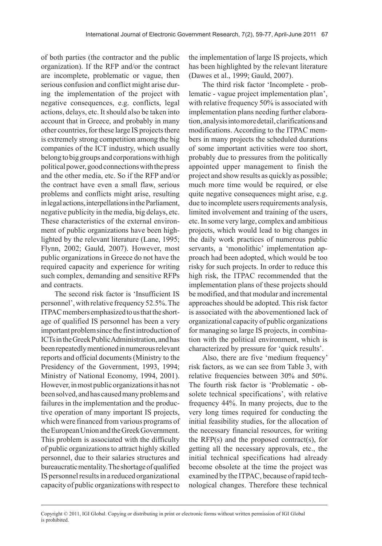of both parties (the contractor and the public organization). If the RFP and/or the contract are incomplete, problematic or vague, then serious confusion and conflict might arise during the implementation of the project with negative consequences, e.g. conflicts, legal actions, delays, etc. It should also be taken into account that in Greece, and probably in many other countries, for these large IS projects there is extremely strong competition among the big companies of the ICT industry, which usually belong to big groups and corporations with high political power, good connections with the press and the other media, etc. So if the RFP and/or the contract have even a small flaw, serious problems and conflicts might arise, resulting in legal actions, interpellations in the Parliament, negative publicity in the media, big delays, etc. These characteristics of the external environment of public organizations have been highlighted by the relevant literature (Lane, 1995; Flynn, 2002; Gauld, 2007). However, most public organizations in Greece do not have the required capacity and experience for writing such complex, demanding and sensitive RFPs and contracts.

The second risk factor is 'Insufficient IS personnel', with relative frequency 52.5%. The ITPAC members emphasized to us that the shortage of qualified IS personnel has been a very important problem since the first introduction of ICTs in the Greek Public Administration, and has been repeatedly mentioned in numerous relevant reports and official documents (Ministry to the Presidency of the Government, 1993, 1994; Ministry of National Economy, 1994, 2001). However, in most public organizations it has not been solved, and has caused many problems and failures in the implementation and the productive operation of many important IS projects, which were financed from various programs of the European Union and the Greek Government. This problem is associated with the difficulty of public organizations to attract highly skilled personnel, due to their salaries structures and bureaucratic mentality. The shortage of qualified IS personnel results in a reduced organizational capacity of public organizations with respect to the implementation of large IS projects, which has been highlighted by the relevant literature (Dawes et al., 1999; Gauld, 2007).

The third risk factor 'Incomplete - problematic - vague project implementation plan', with relative frequency 50% is associated with implementation plans needing further elaboration, analysis into more detail, clarifications and modifications. According to the ITPAC members in many projects the scheduled durations of some important activities were too short, probably due to pressures from the politically appointed upper management to finish the project and show results as quickly as possible; much more time would be required, or else quite negative consequences might arise, e.g. due to incomplete users requirements analysis, limited involvement and training of the users, etc. In some very large, complex and ambitious projects, which would lead to big changes in the daily work practices of numerous public servants, a 'monolithic' implementation approach had been adopted, which would be too risky for such projects. In order to reduce this high risk, the ITPAC recommended that the implementation plans of these projects should be modified, and that modular and incremental approaches should be adopted. This risk factor is associated with the abovementioned lack of organizational capacity of public organizations for managing so large IS projects, in combination with the political environment, which is characterized by pressure for 'quick results'.

Also, there are five 'medium frequency' risk factors, as we can see from Table 3, with relative frequencies between 30% and 50%. The fourth risk factor is 'Problematic - obsolete technical specifications', with relative frequency 44%. In many projects, due to the very long times required for conducting the initial feasibility studies, for the allocation of the necessary financial resources, for writing the  $RFP(s)$  and the proposed contract(s), for getting all the necessary approvals, etc., the initial technical specifications had already become obsolete at the time the project was examined by the ITPAC, because of rapid technological changes. Therefore these technical

Copyright © 2011, IGI Global. Copying or distributing in print or electronic forms without written permission of IGI Global is prohibited.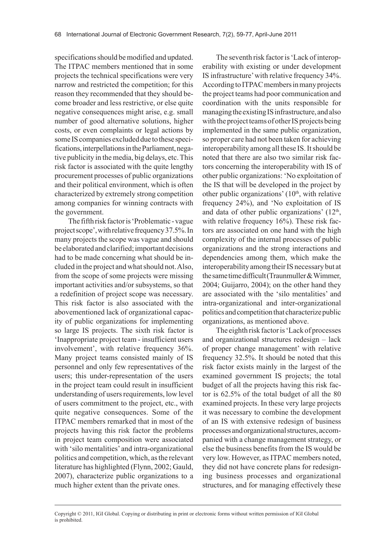specifications should be modified and updated. The ITPAC members mentioned that in some projects the technical specifications were very narrow and restricted the competition; for this reason they recommended that they should become broader and less restrictive, or else quite negative consequences might arise, e.g. small number of good alternative solutions, higher costs, or even complaints or legal actions by some IS companies excluded due to these specifications, interpellations in the Parliament, negative publicity in the media, big delays, etc. This risk factor is associated with the quite lengthy procurement processes of public organizations and their political environment, which is often characterized by extremely strong competition among companies for winning contracts with the government.

The fifth risk factor is 'Problematic - vague project scope', with relative frequency 37.5%. In many projects the scope was vague and should be elaborated and clarified; important decisions had to be made concerning what should be included in the project and what should not. Also, from the scope of some projects were missing important activities and/or subsystems, so that a redefinition of project scope was necessary. This risk factor is also associated with the abovementioned lack of organizational capacity of public organizations for implementing so large IS projects. The sixth risk factor is 'Inappropriate project team - insufficient users involvement', with relative frequency 36%. Many project teams consisted mainly of IS personnel and only few representatives of the users; this under-representation of the users in the project team could result in insufficient understanding of users requirements, low level of users commitment to the project, etc., with quite negative consequences. Some of the ITPAC members remarked that in most of the projects having this risk factor the problems in project team composition were associated with 'silo mentalities' and intra-organizational politics and competition, which, as the relevant literature has highlighted (Flynn, 2002; Gauld, 2007), characterize public organizations to a much higher extent than the private ones.

The seventh risk factor is 'Lack of interoperability with existing or under development IS infrastructure' with relative frequency 34%. According to ITPAC members in many projects the project teams had poor communication and coordination with the units responsible for managing the existing IS infrastructure, and also with the project teams of other IS projects being implemented in the same public organization, so proper care had not been taken for achieving interoperability among all these IS. It should be noted that there are also two similar risk factors concerning the interoperability with IS of other public organizations: 'No exploitation of the IS that will be developed in the project by other public organizations'  $(10<sup>th</sup>, with relative$ frequency 24%), and 'No exploitation of IS and data of other public organizations'  $(12<sup>th</sup>,$ with relative frequency 16%). These risk factors are associated on one hand with the high complexity of the internal processes of public organizations and the strong interactions and dependencies among them, which make the interoperability among their IS necessary but at the same time difficult (Traunmuller & Wimmer, 2004; Guijarro, 2004); on the other hand they are associated with the 'silo mentalities' and intra-organizational and inter-organizational politics and competition that characterize public organizations, as mentioned above.

The eighth risk factor is 'Lack of processes and organizational structures redesign – lack of proper change management' with relative frequency 32.5%. It should be noted that this risk factor exists mainly in the largest of the examined government IS projects; the total budget of all the projects having this risk factor is 62.5% of the total budget of all the 80 examined projects. In these very large projects it was necessary to combine the development of an IS with extensive redesign of business processes and organizational structures, accompanied with a change management strategy, or else the business benefits from the IS would be very low. However, as ITPAC members noted, they did not have concrete plans for redesigning business processes and organizational structures, and for managing effectively these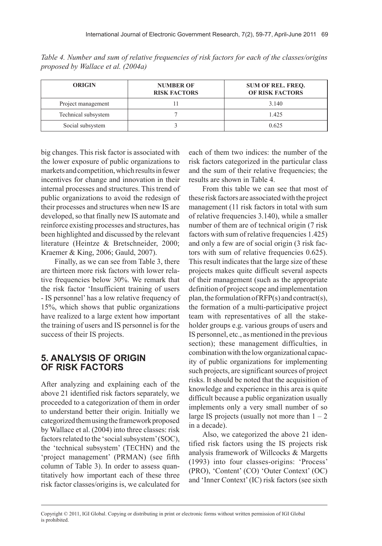| <b>ORIGIN</b>       | <b>NUMBER OF</b><br><b>RISK FACTORS</b> | <b>SUM OF REL. FREO.</b><br><b>OF RISK FACTORS</b> |
|---------------------|-----------------------------------------|----------------------------------------------------|
| Project management  |                                         | 3.140                                              |
| Technical subsystem |                                         | 1.425                                              |
| Social subsystem    |                                         | 0.625                                              |

*Table 4. Number and sum of relative frequencies of risk factors for each of the classes/origins proposed by Wallace et al. (2004a)*

big changes. This risk factor is associated with the lower exposure of public organizations to markets and competition, which results in fewer incentives for change and innovation in their internal processes and structures. This trend of public organizations to avoid the redesign of their processes and structures when new IS are developed, so that finally new IS automate and reinforce existing processes and structures, has been highlighted and discussed by the relevant literature (Heintze & Bretschneider, 2000; Kraemer & King, 2006; Gauld, 2007).

Finally, as we can see from Table 3, there are thirteen more risk factors with lower relative frequencies below 30%. We remark that the risk factor 'Insufficient training of users - IS personnel' has a low relative frequency of 15%, which shows that public organizations have realized to a large extent how important the training of users and IS personnel is for the success of their IS projects.

## **5. ANALYSIS OF ORIGIN OF RISK FACTORS**

After analyzing and explaining each of the above 21 identified risk factors separately, we proceeded to a categorization of them in order to understand better their origin. Initially we categorized them using the framework proposed by Wallace et al. (2004) into three classes: risk factors related to the 'social subsystem' (SOC), the 'technical subsystem' (TECHN) and the 'project management' (PRMAN) (see fifth column of Table 3). In order to assess quantitatively how important each of these three risk factor classes/origins is, we calculated for

each of them two indices: the number of the risk factors categorized in the particular class and the sum of their relative frequencies; the results are shown in Table 4.

From this table we can see that most of these risk factors are associated with the project management (11 risk factors in total with sum of relative frequencies 3.140), while a smaller number of them are of technical origin (7 risk factors with sum of relative frequencies 1.425) and only a few are of social origin (3 risk factors with sum of relative frequencies 0.625). This result indicates that the large size of these projects makes quite difficult several aspects of their management (such as the appropriate definition of project scope and implementation plan, the formulation of RFP(s) and contract(s), the formation of a multi-participative project team with representatives of all the stakeholder groups e.g. various groups of users and IS personnel, etc., as mentioned in the previous section); these management difficulties, in combination with the low organizational capacity of public organizations for implementing such projects, are significant sources of project risks. It should be noted that the acquisition of knowledge and experience in this area is quite difficult because a public organization usually implements only a very small number of so large IS projects (usually not more than  $1 - 2$ ) in a decade).

Also, we categorized the above 21 identified risk factors using the IS projects risk analysis framework of Willcocks & Margetts (1993) into four classes-origins: 'Process' (PRO), 'Content' (CO) 'Outer Context' (OC) and 'Inner Context' (IC) risk factors (see sixth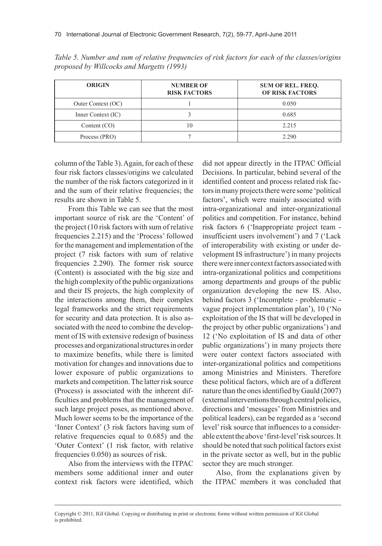| <b>ORIGIN</b>      | <b>NUMBER OF</b><br><b>RISK FACTORS</b> | <b>SUM OF REL. FREO.</b><br><b>OF RISK FACTORS</b> |
|--------------------|-----------------------------------------|----------------------------------------------------|
| Outer Context (OC) |                                         | 0.050                                              |
| Inner Context (IC) |                                         | 0.685                                              |
| Content $(CO)$     | 10                                      | 2.215                                              |
| Process (PRO)      |                                         | 2.290                                              |

*Table 5. Number and sum of relative frequencies of risk factors for each of the classes/origins proposed by Willcocks and Margetts (1993)*

column of the Table 3). Again, for each of these four risk factors classes/origins we calculated the number of the risk factors categorized in it and the sum of their relative frequencies; the results are shown in Table 5.

From this Table we can see that the most important source of risk are the 'Content' of the project (10 risk factors with sum of relative frequencies 2.215) and the 'Process' followed for the management and implementation of the project (7 risk factors with sum of relative frequencies 2.290). The former risk source (Content) is associated with the big size and the high complexity of the public organizations and their IS projects, the high complexity of the interactions among them, their complex legal frameworks and the strict requirements for security and data protection. It is also associated with the need to combine the development of IS with extensive redesign of business processes and organizational structures in order to maximize benefits, while there is limited motivation for changes and innovations due to lower exposure of public organizations to markets and competition. The latter risk source (Process) is associated with the inherent difficulties and problems that the management of such large project poses, as mentioned above. Much lower seems to be the importance of the 'Inner Context' (3 risk factors having sum of relative frequencies equal to 0.685) and the 'Outer Context' (1 risk factor, with relative frequencies 0.050) as sources of risk.

Also from the interviews with the ITPAC members some additional inner and outer context risk factors were identified, which

did not appear directly in the ITPAC Official Decisions. In particular, behind several of the identified content and process related risk factors in many projects there were some 'political factors', which were mainly associated with intra-organizational and inter-organizational politics and competition. For instance, behind risk factors 6 ('Inappropriate project team insufficient users involvement') and 7 ('Lack of interoperability with existing or under development IS infrastructure') in many projects there were inner context factors associated with intra-organizational politics and competitions among departments and groups of the public organization developing the new IS. Also, behind factors 3 ('Incomplete - problematic vague project implementation plan'), 10 ('No exploitation of the IS that will be developed in the project by other public organizations') and 12 ('No exploitation of IS and data of other public organizations') in many projects there were outer context factors associated with inter-organizational politics and competitions among Ministries and Ministers. Therefore these political factors, which are of a different nature than the ones identified by Gauld (2007) (external interventions through central policies, directions and 'messages' from Ministries and political leaders), can be regarded as a 'second level' risk source that influences to a considerable extent the above 'first-level' risk sources. It should be noted that such political factors exist in the private sector as well, but in the public sector they are much stronger.

Also, from the explanations given by the ITPAC members it was concluded that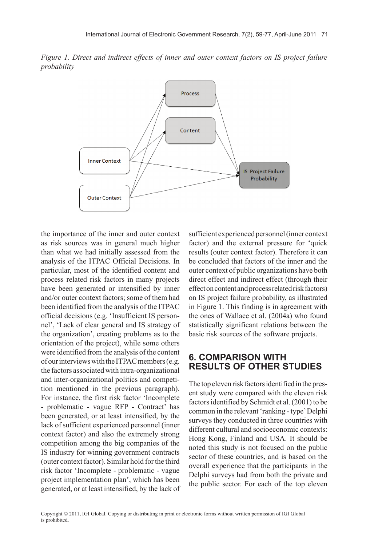*Figure 1. Direct and indirect effects of inner and outer context factors on IS project failure probability*



the importance of the inner and outer context as risk sources was in general much higher than what we had initially assessed from the analysis of the ITPAC Official Decisions. In particular, most of the identified content and process related risk factors in many projects have been generated or intensified by inner and/or outer context factors; some of them had been identified from the analysis of the ITPAC official decisions (e.g. 'Insufficient IS personnel', 'Lack of clear general and IS strategy of the organization', creating problems as to the orientation of the project), while some others were identified from the analysis of the content of our interviews with the ITPAC members (e.g. the factors associated with intra-organizational and inter-organizational politics and competition mentioned in the previous paragraph). For instance, the first risk factor 'Incomplete - problematic - vague RFP - Contract' has been generated, or at least intensified, by the lack of sufficient experienced personnel (inner context factor) and also the extremely strong competition among the big companies of the IS industry for winning government contracts (outer context factor). Similar hold for the third risk factor 'Incomplete - problematic - vague project implementation plan', which has been generated, or at least intensified, by the lack of sufficient experienced personnel (inner context factor) and the external pressure for 'quick results (outer context factor). Therefore it can be concluded that factors of the inner and the outer context of public organizations have both direct effect and indirect effect (through their effect on content and process related risk factors) on IS project failure probability, as illustrated in Figure 1. This finding is in agreement with the ones of Wallace et al. (2004a) who found statistically significant relations between the basic risk sources of the software projects.

#### **6. COMPARISON WITH RESULTS OF OTHER STUDIES**

The top eleven risk factors identified in the present study were compared with the eleven risk factors identified by Schmidt et al. (2001) to be common in the relevant 'ranking - type' Delphi surveys they conducted in three countries with different cultural and socioeconomic contexts: Hong Kong, Finland and USA. It should be noted this study is not focused on the public sector of these countries, and is based on the overall experience that the participants in the Delphi surveys had from both the private and the public sector. For each of the top eleven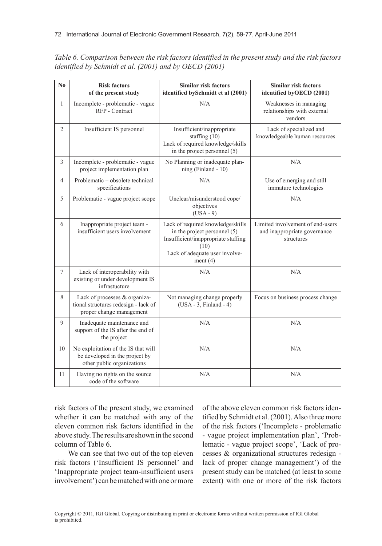| No             | <b>Risk factors</b><br>of the present study                                                         | <b>Similar risk factors</b><br>identified bySchmidt et al (2001)                                                                                                 | <b>Similar risk factors</b><br>identified byOECD (2001)                        |
|----------------|-----------------------------------------------------------------------------------------------------|------------------------------------------------------------------------------------------------------------------------------------------------------------------|--------------------------------------------------------------------------------|
| $\mathbf{1}$   | Incomplete - problematic - vague<br>RFP - Contract                                                  | N/A                                                                                                                                                              | Weaknesses in managing<br>relationships with external<br>vendors               |
| $\overline{2}$ | Insufficient IS personnel                                                                           | Insufficient/inappropriate<br>staffing $(10)$<br>Lack of required knowledge/skills<br>in the project personnel (5)                                               | Lack of specialized and<br>knowledgeable human resources                       |
| $\overline{3}$ | Incomplete - problematic - vague<br>project implementation plan                                     | No Planning or inadequate plan-<br>ning (Finland - 10)                                                                                                           | N/A                                                                            |
| $\overline{4}$ | Problematic – obsolete technical<br>specifications                                                  | N/A                                                                                                                                                              | Use of emerging and still<br>immature technologies                             |
| 5              | Problematic - vague project scope                                                                   | Unclear/misunderstood cope/<br>objectives<br>$(USA - 9)$                                                                                                         | N/A                                                                            |
| 6              | Inappropriate project team -<br>insufficient users involvement                                      | Lack of required knowledge/skills<br>in the project personnel (5)<br>Insufficient/inappropriate staffing<br>(10)<br>Lack of adequate user involve-<br>ment $(4)$ | Limited involvement of end-users<br>and inappropriate governance<br>structures |
| $\overline{7}$ | Lack of interoperability with<br>existing or under development IS<br>infrastucture                  | N/A                                                                                                                                                              | N/A                                                                            |
| 8              | Lack of processes & organiza-<br>tional structures redesign - lack of<br>proper change management   | Not managing change properly<br>$(USA - 3, Finland - 4)$                                                                                                         | Focus on business process change                                               |
| 9              | Inadequate maintenance and<br>support of the IS after the end of<br>the project                     | N/A                                                                                                                                                              | N/A                                                                            |
| 10             | No exploitation of the IS that will<br>be developed in the project by<br>other public organizations | N/A                                                                                                                                                              | N/A                                                                            |
| 11             | Having no rights on the source<br>code of the software                                              | N/A                                                                                                                                                              | N/A                                                                            |

*Table 6. Comparison between the risk factors identified in the present study and the risk factors identified by Schmidt et al. (2001) and by OECD (2001)*

risk factors of the present study, we examined whether it can be matched with any of the eleven common risk factors identified in the above study. The results are shown in the second column of Table 6.

We can see that two out of the top eleven risk factors ('Insufficient IS personnel' and 'Inappropriate project team-insufficient users involvement') can be matched with one or more

of the above eleven common risk factors identified by Schmidt et al. (2001). Also three more of the risk factors ('Incomplete - problematic - vague project implementation plan', 'Problematic - vague project scope', 'Lack of processes & organizational structures redesign lack of proper change management') of the present study can be matched (at least to some extent) with one or more of the risk factors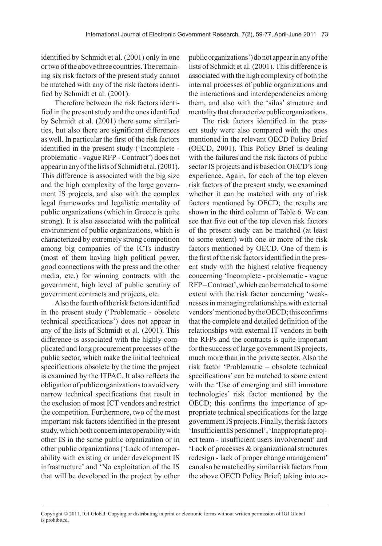identified by Schmidt et al. (2001) only in one or two of the above three countries. The remaining six risk factors of the present study cannot be matched with any of the risk factors identified by Schmidt et al. (2001).

Therefore between the risk factors identified in the present study and the ones identified by Schmidt et al. (2001) there some similarities, but also there are significant differences as well. In particular the first of the risk factors identified in the present study ('Incomplete problematic - vague RFP - Contract') does not appear in any of the lists of Schmidt et al. (2001). This difference is associated with the big size and the high complexity of the large government IS projects, and also with the complex legal frameworks and legalistic mentality of public organizations (which in Greece is quite strong). It is also associated with the political environment of public organizations, which is characterized by extremely strong competition among big companies of the ICTs industry (most of them having high political power, good connections with the press and the other media, etc.) for winning contracts with the government, high level of public scrutiny of government contracts and projects, etc.

Also the fourth of the risk factors identified in the present study ('Problematic - obsolete technical specifications') does not appear in any of the lists of Schmidt et al. (2001). This difference is associated with the highly complicated and long procurement processes of the public sector, which make the initial technical specifications obsolete by the time the project is examined by the ITPAC. It also reflects the obligation of public organizations to avoid very narrow technical specifications that result in the exclusion of most ICT vendors and restrict the competition. Furthermore, two of the most important risk factors identified in the present study, which both concern interoperability with other IS in the same public organization or in other public organizations ('Lack of interoperability with existing or under development IS infrastructure' and 'No exploitation of the IS that will be developed in the project by other

public organizations') do not appear in any of the lists of Schmidt et al. (2001). This difference is associated with the high complexity of both the internal processes of public organizations and the interactions and interdependencies among them, and also with the 'silos' structure and mentality that characterize public organizations.

The risk factors identified in the present study were also compared with the ones mentioned in the relevant OECD Policy Brief (OECD, 2001). This Policy Brief is dealing with the failures and the risk factors of public sector IS projects and is based on OECD's long experience. Again, for each of the top eleven risk factors of the present study, we examined whether it can be matched with any of risk factors mentioned by OECD; the results are shown in the third column of Table 6. We can see that five out of the top eleven risk factors of the present study can be matched (at least to some extent) with one or more of the risk factors mentioned by OECD. One of them is the first of the risk factors identified in the present study with the highest relative frequency concerning 'Incomplete - problematic - vague RFP – Contract', which can be matched to some extent with the risk factor concerning 'weaknesses in managing relationships with external vendors' mentioned by the OECD; this confirms that the complete and detailed definition of the relationships with external IT vendors in both the RFPs and the contracts is quite important for the success of large government IS projects, much more than in the private sector. Also the risk factor 'Problematic – obsolete technical specifications' can be matched to some extent with the 'Use of emerging and still immature technologies' risk factor mentioned by the OECD; this confirms the importance of appropriate technical specifications for the large government IS projects. Finally, the risk factors 'Insufficient IS personnel', 'Inappropriate project team - insufficient users involvement' and 'Lack of processes & organizational structures redesign - lack of proper change management' can also be matched by similar risk factors from the above OECD Policy Brief; taking into ac-

Copyright © 2011, IGI Global. Copying or distributing in print or electronic forms without written permission of IGI Global is prohibited.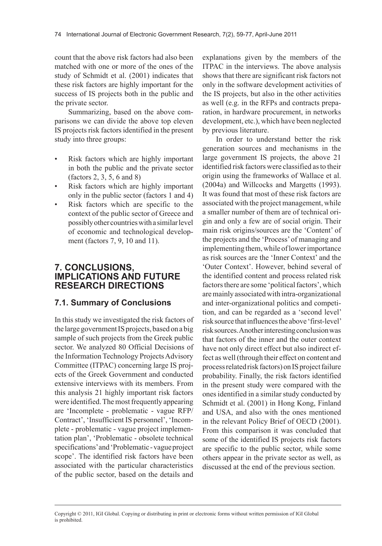count that the above risk factors had also been matched with one or more of the ones of the study of Schmidt et al. (2001) indicates that these risk factors are highly important for the success of IS projects both in the public and the private sector.

Summarizing, based on the above comparisons we can divide the above top eleven IS projects risk factors identified in the present study into three groups:

- Risk factors which are highly important in both the public and the private sector (factors 2, 3, 5, 6 and 8)
- Risk factors which are highly important only in the public sector (factors 1 and 4)
- Risk factors which are specific to the context of the public sector of Greece and possibly other countries with a similar level of economic and technological development (factors 7, 9, 10 and 11).

#### **7. CONCLUSIONS, IMPLICATIONS AND FUTURE RESEARCH DIRECTIONS**

#### **7.1. Summary of Conclusions**

In this study we investigated the risk factors of the large government IS projects, based on a big sample of such projects from the Greek public sector. We analyzed 80 Official Decisions of the Information Technology Projects Advisory Committee (ITPAC) concerning large IS projects of the Greek Government and conducted extensive interviews with its members. From this analysis 21 highly important risk factors were identified. The most frequently appearing are 'Incomplete - problematic - vague RFP/ Contract', 'Insufficient IS personnel', 'Incomplete - problematic - vague project implementation plan', 'Problematic - obsolete technical specifications' and 'Problematic - vague project scope'. The identified risk factors have been associated with the particular characteristics of the public sector, based on the details and

explanations given by the members of the ITPAC in the interviews. The above analysis shows that there are significant risk factors not only in the software development activities of the IS projects, but also in the other activities as well (e.g. in the RFPs and contracts preparation, in hardware procurement, in networks development, etc.), which have been neglected by previous literature.

In order to understand better the risk generation sources and mechanisms in the large government IS projects, the above 21 identified risk factors were classified as to their origin using the frameworks of Wallace et al. (2004a) and Willcocks and Margetts (1993). It was found that most of these risk factors are associated with the project management, while a smaller number of them are of technical origin and only a few are of social origin. Their main risk origins/sources are the 'Content' of the projects and the 'Process' of managing and implementing them, while of lower importance as risk sources are the 'Inner Context' and the 'Outer Context'. However, behind several of the identified content and process related risk factors there are some 'political factors', which are mainly associated with intra-organizational and inter-organizational politics and competition, and can be regarded as a 'second level' risk source that influences the above 'first-level' risk sources. Another interesting conclusion was that factors of the inner and the outer context have not only direct effect but also indirect effect as well (through their effect on content and process related risk factors) on IS project failure probability. Finally, the risk factors identified in the present study were compared with the ones identified in a similar study conducted by Schmidt et al. (2001) in Hong Kong, Finland and USA, and also with the ones mentioned in the relevant Policy Brief of OECD (2001). From this comparison it was concluded that some of the identified IS projects risk factors are specific to the public sector, while some others appear in the private sector as well, as discussed at the end of the previous section.

Copyright © 2011, IGI Global. Copying or distributing in print or electronic forms without written permission of IGI Global is prohibited.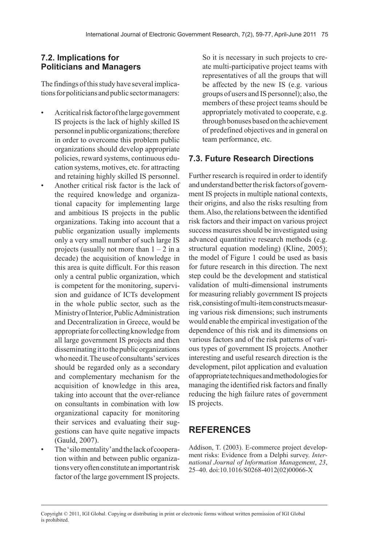## **7.2. Implications for Politicians and Managers**

The findings of this study have several implications for politicians and public sector managers:

- A critical risk factor of the large government IS projects is the lack of highly skilled IS personnel in public organizations; therefore in order to overcome this problem public organizations should develop appropriate policies, reward systems, continuous education systems, motives, etc. for attracting and retaining highly skilled IS personnel.
- Another critical risk factor is the lack of the required knowledge and organizational capacity for implementing large and ambitious IS projects in the public organizations. Taking into account that a public organization usually implements only a very small number of such large IS projects (usually not more than  $1 - 2$  in a decade) the acquisition of knowledge in this area is quite difficult. For this reason only a central public organization, which is competent for the monitoring, supervision and guidance of ICTs development in the whole public sector, such as the Ministry of Interior, Public Administration and Decentralization in Greece, would be appropriate for collecting knowledge from all large government IS projects and then disseminating it to the public organizations who need it. The use of consultants' services should be regarded only as a secondary and complementary mechanism for the acquisition of knowledge in this area, taking into account that the over-reliance on consultants in combination with low organizational capacity for monitoring their services and evaluating their suggestions can have quite negative impacts (Gauld, 2007).
- The 'silo mentality' and the lack of cooperation within and between public organizations very often constitute an important risk factor of the large government IS projects.

So it is necessary in such projects to create multi-participative project teams with representatives of all the groups that will be affected by the new IS (e.g. various groups of users and IS personnel); also, the members of these project teams should be appropriately motivated to cooperate, e.g. through bonuses based on the achievement of predefined objectives and in general on team performance, etc.

## **7.3. Future Research Directions**

Further research is required in order to identify and understand better the risk factors of government IS projects in multiple national contexts, their origins, and also the risks resulting from them. Also, the relations between the identified risk factors and their impact on various project success measures should be investigated using advanced quantitative research methods (e.g. structural equation modeling) (Kline, 2005); the model of Figure 1 could be used as basis for future research in this direction. The next step could be the development and statistical validation of multi-dimensional instruments for measuring reliably government IS projects risk, consisting of multi-item constructs measuring various risk dimensions; such instruments would enable the empirical investigation of the dependence of this risk and its dimensions on various factors and of the risk patterns of various types of government IS projects. Another interesting and useful research direction is the development, pilot application and evaluation of appropriate techniques and methodologies for managing the identified risk factors and finally reducing the high failure rates of government IS projects.

# **REFERENCES**

Addison, T. (2003). E-commerce project development risks: Evidence from a Delphi survey. *International Journal of Information Management*, *23*, 25–40. doi:10.1016/S0268-4012(02)00066-X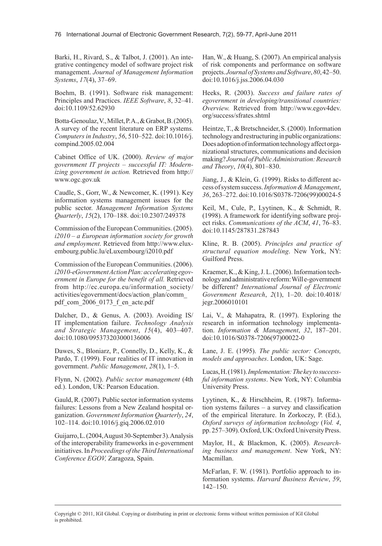Barki, H., Rivard, S., & Talbot, J. (2001). An integrative contingency model of software project risk management. *Journal of Management Information Systems*, *17*(4), 37–69.

Boehm, B. (1991). Software risk management: Principles and Practices. *IEEE Software*, *8*, 32–41. doi:10.1109/52.62930

Botta-Genoulaz, V., Millet, P. A., & Grabot, B. (2005). A survey of the recent literature on ERP systems. *Computers in Industry*, *56*, 510–522. doi:10.1016/j. compind.2005.02.004

Cabinet Office of UK. (2000). *Review of major government IT projects – successful IT: Modernizing government in action.* Retrieved from http:// www.ogc.gov.uk

Caudle, S., Gorr, W., & Newcomer, K. (1991). Key information systems management issues for the public sector. *Management Information Systems Quarterly*, *15*(2), 170–188. doi:10.2307/249378

Commission of the European Communities. (2005). *i2010 – a European information society for growth and employment*. Retrieved from http://www.eluxembourg.public.lu/eLuxembourg/i2010.pdf

Commission of the European Communities. (2006). *i2010-eGovernmentActionPlan:acceleratingegovernment in Europe for the benefit of all.* Retrieved from http://ec.europa.eu/information\_society/ activities/egovernment/docs/action\_plan/comm\_ pdf com 2006 0173 f en acte.pdf

Dalcher, D., & Genus, A. (2003). Avoiding IS/ IT implementation failure. *Technology Analysis and Strategic Management*, *15*(4), 403–407. doi:10.1080/095373203000136006

Dawes, S., Bloniarz, P., Connelly, D., Kelly, K., & Pardo, T. (1999). Four realities of IT innovation in government. *Public Management*, *28*(1), 1–5.

Flynn, N. (2002). *Public sector management* (4th ed.). London, UK: Pearson Education.

Gauld, R. (2007). Public sector information systems failures: Lessons from a New Zealand hospital organization. *Government Information Quarterly*, *24*, 102–114. doi:10.1016/j.giq.2006.02.010

Guijarro, L. (2004, August 30-September 3). Analysis of the interoperability frameworks in e-government initiatives. In *Proceedings of the Third International Conference EGOV,* Zaragoza, Spain.

Han, W., & Huang, S. (2007). An empirical analysis of risk components and performance on software projects. *JournalofSystemsandSoftware*, *80*, 42–50. doi:10.1016/j.jss.2006.04.030

Heeks, R. (2003). *Success and failure rates of egovernment in developing/transitional countries: Overview.* Retrieved from http://www.egov4dev. org/success/sfrates.shtml

Heintze, T., & Bretschneider, S. (2000). Information technology and restructuring in public organizations: Does adoption of information technology affect organizational structures, communications and decision making? *JournalofPublicAdministration:Research and Theory*, *10*(4), 801–830.

Jiang, J., & Klein, G. (1999). Risks to different access of system success. *Information&Management*, *36*, 263–272. doi:10.1016/S0378-7206(99)00024-5

Keil, M., Cule, P., Lyytinen, K., & Schmidt, R. (1998). A framework for identifying software project risks. *Communications of the ACM*, *41*, 76–83. doi:10.1145/287831.287843

Kline, R. B. (2005). *Principles and practice of structural equation modeling*. New York, NY: Guilford Press.

Kraemer, K., & King, J. L. (2006). Information technology and administrative reform: Will e-government be different? *International Journal of Electronic Government Research*, *2*(1), 1–20. doi:10.4018/ jegr.2006010101

Lai, V., & Mahapatra, R. (1997). Exploring the research in information technology implementation. *Information & Management*, *32*, 187–201. doi:10.1016/S0378-7206(97)00022-0

Lane, J. E. (1995). *The public sector: Concepts, models and approaches*. London, UK: Sage.

Lucas, H. (1981). *Implementation:Thekeytosuccessful information systems*. New York, NY: Columbia University Press.

Lyytinen, K., & Hirschheim, R. (1987). Information systems failures – a survey and classification of the empirical literature. In Zorkoczy, P. (Ed.), *Oxford surveys of information technology* (*Vol. 4*, pp. 257–309). Oxford, UK: Oxford University Press.

Maylor, H., & Blackmon, K. (2005). *Researching business and management*. New York, NY: Macmillan.

McFarlan, F. W. (1981). Portfolio approach to information systems. *Harvard Business Review*, *59*, 142–150.